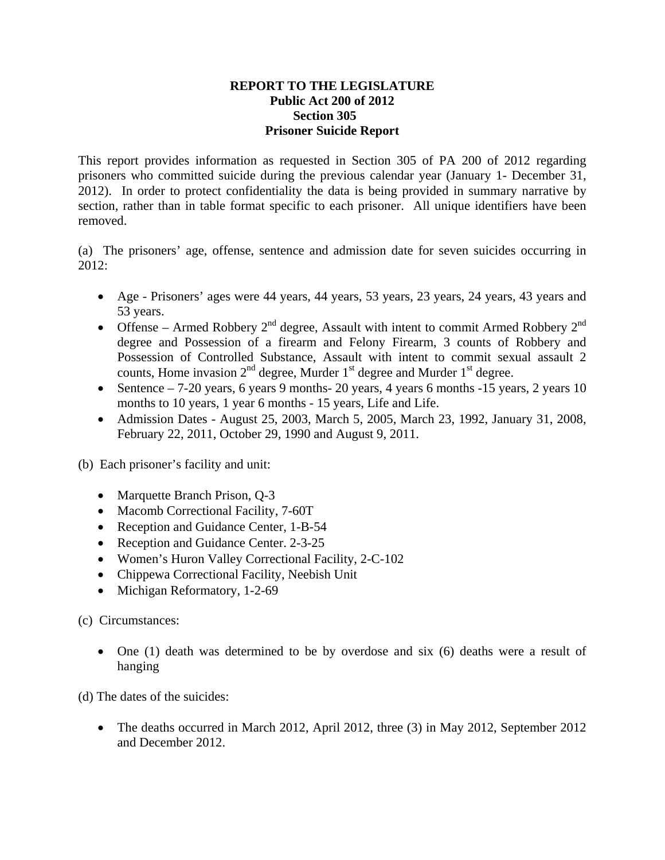## **REPORT TO THE LEGISLATURE Public Act 200 of 2012 Section 305 Prisoner Suicide Report**

This report provides information as requested in Section 305 of PA 200 of 2012 regarding prisoners who committed suicide during the previous calendar year (January 1- December 31, 2012). In order to protect confidentiality the data is being provided in summary narrative by section, rather than in table format specific to each prisoner. All unique identifiers have been removed.

(a) The prisoners' age, offense, sentence and admission date for seven suicides occurring in 2012:

- Age Prisoners' ages were 44 years, 44 years, 53 years, 23 years, 24 years, 43 years and 53 years.
- Offense Armed Robbery  $2^{nd}$  degree, Assault with intent to commit Armed Robbery  $2^{nd}$ degree and Possession of a firearm and Felony Firearm, 3 counts of Robbery and Possession of Controlled Substance, Assault with intent to commit sexual assault 2 counts, Home invasion  $2<sup>nd</sup>$  degree, Murder  $1<sup>st</sup>$  degree and Murder  $1<sup>st</sup>$  degree.
- Sentence 7-20 years, 6 years 9 months- 20 years, 4 years 6 months -15 years, 2 years 10 months to 10 years, 1 year 6 months - 15 years, Life and Life.
- Admission Dates August 25, 2003, March 5, 2005, March 23, 1992, January 31, 2008, February 22, 2011, October 29, 1990 and August 9, 2011.

(b) Each prisoner's facility and unit:

- Marquette Branch Prison, Q-3
- Macomb Correctional Facility, 7-60T
- Reception and Guidance Center, 1-B-54
- Reception and Guidance Center. 2-3-25
- Women's Huron Valley Correctional Facility, 2-C-102
- Chippewa Correctional Facility, Neebish Unit
- Michigan Reformatory, 1-2-69

(c) Circumstances:

 One (1) death was determined to be by overdose and six (6) deaths were a result of hanging

(d) The dates of the suicides:

• The deaths occurred in March 2012, April 2012, three (3) in May 2012, September 2012 and December 2012.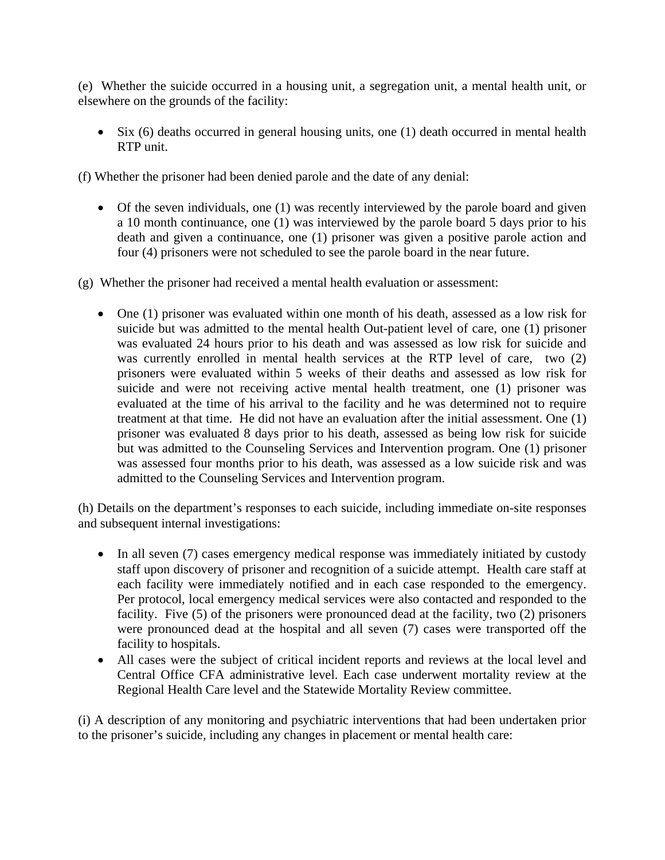(e) Whether the suicide occurred in a housing unit, a segregation unit, a mental health unit, or elsewhere on the grounds of the facility:

 $\bullet$  Six (6) deaths occurred in general housing units, one (1) death occurred in mental health RTP unit.

(f) Whether the prisoner had been denied parole and the date of any denial:

 Of the seven individuals, one (1) was recently interviewed by the parole board and given a 10 month continuance, one (1) was interviewed by the parole board 5 days prior to his death and given a continuance, one (1) prisoner was given a positive parole action and four (4) prisoners were not scheduled to see the parole board in the near future.

(g) Whether the prisoner had received a mental health evaluation or assessment:

 One (1) prisoner was evaluated within one month of his death, assessed as a low risk for suicide but was admitted to the mental health Out-patient level of care, one (1) prisoner was evaluated 24 hours prior to his death and was assessed as low risk for suicide and was currently enrolled in mental health services at the RTP level of care, two (2) prisoners were evaluated within 5 weeks of their deaths and assessed as low risk for suicide and were not receiving active mental health treatment, one (1) prisoner was evaluated at the time of his arrival to the facility and he was determined not to require treatment at that time. He did not have an evaluation after the initial assessment. One (1) prisoner was evaluated 8 days prior to his death, assessed as being low risk for suicide but was admitted to the Counseling Services and Intervention program. One (1) prisoner was assessed four months prior to his death, was assessed as a low suicide risk and was admitted to the Counseling Services and Intervention program.

(h) Details on the department's responses to each suicide, including immediate on-site responses and subsequent internal investigations:

- In all seven (7) cases emergency medical response was immediately initiated by custody staff upon discovery of prisoner and recognition of a suicide attempt. Health care staff at each facility were immediately notified and in each case responded to the emergency. Per protocol, local emergency medical services were also contacted and responded to the facility. Five (5) of the prisoners were pronounced dead at the facility, two (2) prisoners were pronounced dead at the hospital and all seven (7) cases were transported off the facility to hospitals.
- All cases were the subject of critical incident reports and reviews at the local level and Central Office CFA administrative level. Each case underwent mortality review at the Regional Health Care level and the Statewide Mortality Review committee.

(i) A description of any monitoring and psychiatric interventions that had been undertaken prior to the prisoner's suicide, including any changes in placement or mental health care: